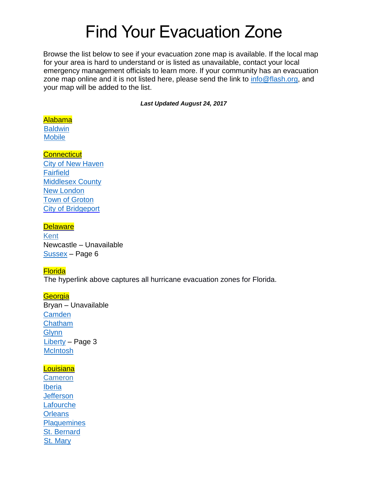# Find Your Evacuation Zone

Browse the list below to see if your evacuation zone map is available. If the local map for your area is hard to understand or is listed as unavailable, contact your local emergency management officials to learn more. If your community has an evacuation zone map online and it is not listed here, please send the link to [info@flash.org,](file:///C:/Users/sarah/AppData/Local/Microsoft/Windows/INetCache/Content.Outlook/NF3J3WA9/info@flash.org) and your map will be added to the list.

*Last Updated August 24, 2017*

#### [Alabama](http://ema.alabama.gov/)

**[Baldwin](http://baldwincountyal.gov/docs/default-source/ema/baldwin_evac_zones_feb_2010.pdf?sfvrsn=2) [Mobile](http://www.cityofmobile.org/hurricane/hurricane_evacuation.php)** 

- **[Connecticut](http://www.ct.gov/demhs/site/default.asp)** [City of New Haven](http://www.ct.gov/demhs/lib/demhs/evacuation_map_11_2_05.pdf)
- **[Fairfield](http://www.arcgis.com/home/webmap/viewer.html?url=http%3A%2F%2Fwww.ctgismaps2.ct.gov%2Farcgis%2Frest%2Fservices%2FHurricaneEvac_map_viewer%2FMapServer&source=sd)** [Middlesex County](http://www.arcgis.com/home/webmap/viewer.html?url=http%3A%2F%2Fwww.ctgismaps2.ct.gov%2Farcgis%2Frest%2Fservices%2FHurricaneEvac_map_viewer%2FMapServer&source=sd) [New London](http://www.arcgis.com/home/webmap/viewer.html?url=http%3A%2F%2Fwww.ctgismaps2.ct.gov%2Farcgis%2Frest%2Fservices%2FHurricaneEvac_map_viewer%2FMapServer&source=sd) [Town of Groton](http://www.arcgis.com/home/webmap/viewer.html?url=http%3A%2F%2Fwww.ctgismaps2.ct.gov%2Farcgis%2Frest%2Fservices%2FHurricaneEvac_map_viewer%2FMapServer&source=sd) [City of Bridgeport](http://www.arcgis.com/home/webmap/viewer.html?url=http%3A%2F%2Fwww.ctgismaps2.ct.gov%2Farcgis%2Frest%2Fservices%2FHurricaneEvac_map_viewer%2FMapServer&source=sd)

## **[Delaware](http://dema.delaware.gov/)**

**[Kent](http://www.bls.gov/cew/hurricane_zones/maps/de/kent_county.pdf)** Newcastle – Unavailable [Sussex](https://www.sussexcountyde.gov/sites/default/files/PDFs/1_sussex_county_all_hazards_evacuation_annex_2006.pdf) – Page 6

# **[Florida](http://www.floridadisaster.org/publicmapping/index.htm)**

The hyperlink above captures all hurricane evacuation zones for Florida.

**[Georgia](http://www.gema.ga.gov/Pages/default.aspx)** Bryan – Unavailable **[Camden](http://www.co.camden.ga.us/438/evacuation-zones-for-camden,-glynn-mcintosh)** [Chatham](http://www.chathamemergency.org/evacuation-information/evacuation-maps.php) **[Glynn](http://glynn.maps.arcgis.com/home/webmap/viewer.html?webmap=4d62a76689b6413687cc5ab141d0d760&extent=-82.2701,30.8624,-80.7348,31.5799)** [Liberty](http://www.libertycountyga.com/egov/documents/1430752017_59637.pdf) – Page 3 **[McIntosh](http://www.sas.usace.army.mil/Portals/61/docs/Planning/HES/McIntoshCountyGeoPDF.pdf)** 

# **[Louisiana](http://gohsep.la.gov/)**

**[Cameron](http://maps.redcross.org/website/maps/images/Louisiana/LA_state1_evac.pdf)** [Iberia](http://maps.redcross.org/website/maps/images/Louisiana/LA_state1_evac.pdf) **[Jefferson](http://maps.redcross.org/website/maps/images/Louisiana/LA_state1_evac.pdf) [Lafourche](http://maps.redcross.org/website/maps/images/Louisiana/LA_state1_evac.pdf) [Orleans](http://maps.redcross.org/website/maps/images/Louisiana/LA_state1_evac.pdf) [Plaquemines](http://maps.redcross.org/website/maps/images/Louisiana/LA_state1_evac.pdf)** [St. Bernard](http://maps.redcross.org/website/maps/images/Louisiana/LA_state1_evac.pdf) [St. Mary](http://maps.redcross.org/website/maps/images/Louisiana/LA_state1_evac.pdf)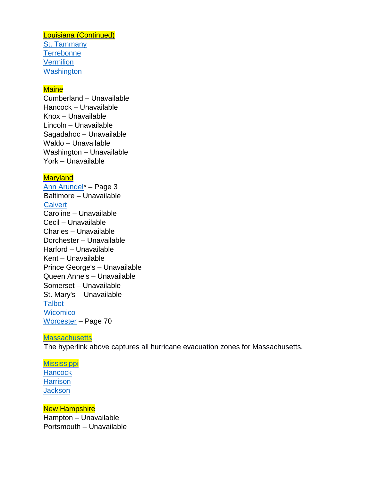[Louisiana](http://gohsep.la.gov/) (Continued) [St. Tammany](http://maps.redcross.org/website/maps/images/Louisiana/LA_state1_evac.pdf) **[Terrebonne](http://maps.redcross.org/website/maps/images/Louisiana/LA_state1_evac.pdf) [Vermilion](http://maps.redcross.org/website/maps/images/Louisiana/LA_state1_evac.pdf) [Washington](http://maps.redcross.org/website/maps/images/Louisiana/LA_state1_evac.pdf)** 

#### **[Maine](http://maine.gov/mema/)**

Cumberland – Unavailable Hancock – Unavailable Knox – Unavailable Lincoln – Unavailable Sagadahoc – Unavailable Waldo – Unavailable Washington – Unavailable York – Unavailable

## **[Maryland](http://mema.maryland.gov/Pages/default.aspx)**

[Ann Arundel\\*](http://www.aacounty.org/departments/office-of-emergency-management/forms-and-publications/Preparedness-Guide.pdf) – Page 3 Baltimore – Unavailable **[Calvert](http://www.co.cal.md.us/index.aspx?NID=337)** Caroline – Unavailable Cecil – Unavailable Charles – Unavailable Dorchester – Unavailable Harford – Unavailable Kent – Unavailable Prince George's – Unavailable Queen Anne's – Unavailable Somerset – Unavailable St. Mary's – Unavailable **[Talbot](http://www.talbotdes.org/uploads/file/TALBOT_VUL_HU_06JAN01.pdf) [Wicomico](http://gis.wicomicocounty.org/HurricaneEvac/default.aspx)** [Worcester](http://www.co.worcester.md.us/website/sites/default/files/departments/emergency/2014-Worcester-County-Hazard-Mitigation-Plan-Update.pdf) – Page 70

#### **[Massachusetts](http://www.mass.gov/eopss/agencies/mema/emergencies/hurricanes/hurricane-evacuation-zones.html)**

The hyperlink above captures all hurricane evacuation zones for Massachusetts.

**[Mississippi](http://www.msema.org/be-prepared/hurricanes/) [Hancock](http://www.msema.org/be-prepared/hurricanes/) [Harrison](http://www.msema.org/be-prepared/hurricanes/) [Jackson](http://www.msema.org/be-prepared/hurricanes/)** 

**[New Hampshire](http://www.nh.gov/safety/divisions/hsem/)** Hampton – Unavailable Portsmouth – Unavailable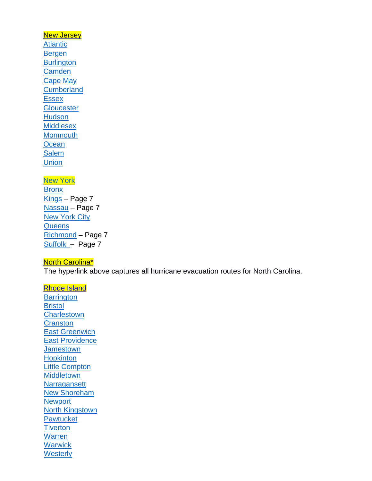# **[New Jersey](http://www.state.nj.us/njoem/) [Atlantic](http://www.readyatlantic.org/act/evaczones.asp)** [Bergen](http://www.state.nj.us/njoem/plan/pdf/maps/bergen_slosh.pdf) **[Burlington](http://www.state.nj.us/njoem/plan/pdf/maps/burlington_slosh.pdf) [Camden](http://www.state.nj.us/njoem/plan/pdf/maps/camden_slosh.pdf)** [Cape May](http://www.state.nj.us/njoem/plan/pdf/maps/capemay_slosh.pdf) **[Cumberland](http://www.state.nj.us/njoem/plan/pdf/maps/cumberland_slosh.pdf) [Essex](http://www.state.nj.us/njoem/plan/pdf/maps/essex_slosh.pdf) [Gloucester](http://www.state.nj.us/njoem/plan/pdf/maps/gloucester_slosh.pdf) [Hudson](http://www.state.nj.us/njoem/plan/pdf/maps/hudson_slosh.pdf) [Middlesex](http://www.state.nj.us/njoem/plan/pdf/maps/middlesex_slosh.pdf) [Monmouth](http://www.state.nj.us/njoem/plan/pdf/maps/monmouth_slosh.pdf) [Ocean](http://www.state.nj.us/njoem/plan/pdf/maps/ocean_slosh.pdf) [Salem](http://www.state.nj.us/njoem/plan/pdf/maps/salem_slosh.pdf) [Union](http://www.state.nj.us/njoem/plan/pdf/maps/union_slosh.pdf)**

#### [New York](http://www.dhses.ny.gov/oem/)

**[Bronx](http://www.nyc.gov/html/oem/downloads/pdf/hurricane_map_english.pdf)** [Kings](http://www.dhses.ny.gov/recovery/mitigation/documents/2014-shmp/Section-3-12-Hurricane.pdf) – Page 7 [Nassau](http://www.dhses.ny.gov/recovery/mitigation/documents/2014-shmp/Section-3-12-Hurricane.pdf) – Page 7 **[New York City](http://www.nyc.gov/html/oem/downloads/pdf/hurricane_map_english.pdf) [Queens](http://www.nyc.gov/html/oem/downloads/pdf/hurricane_map_english.pdf)** [Richmond](http://www.dhses.ny.gov/recovery/mitigation/documents/2014-shmp/Section-3-12-Hurricane.pdf) – Page 7 [Suffolk](http://gis3.suffolkcountyny.gov/suffolk-shelters/) – Page 7

# [North Carolina\\*](http://www.ncdot.gov/travel/evacuationmaps/)

The hyperlink above captures all hurricane evacuation routes for North Carolina.

[Rhode Island](http://www.riema.ri.gov/) **[Barrington](http://www.riema.ri.gov/resources/citizens/prepare/Updated_Evac_Maps/Barrington_Evacuation_081213.pdf) [Bristol](http://www.riema.ri.gov/resources/citizens/prepare/Updated_Evac_Maps/Bristol_Evacuation_081213.pdf) [Charlestown](http://www.riema.ri.gov/resources/citizens/prepare/Updated_Evac_Maps/Charlestown_Evacuation_081213.pdf) [Cranston](http://www.riema.ri.gov/resources/citizens/prepare/Updated_Evac_Maps/Cranston_Evacuation_081213.pdf)** [East Greenwich](http://www.riema.ri.gov/resources/citizens/prepare/Updated_Evac_Maps/EastGreenwich_Evacuation_081213.pdf) [East Providence](http://www.riema.ri.gov/resources/citizens/prepare/Updated_Evac_Maps/EastProvidence_Evacuation_081213.pdf) **[Jamestown](http://www.riema.ri.gov/resources/citizens/prepare/Updated_Evac_Maps/Jamestown_Evacuation_081213.pdf) [Hopkinton](http://www.riema.ri.gov/resources/citizens/prepare/Updated_Evac_Maps/Westerly_Evacuation_081213.pdf)** [Little Compton](http://www.riema.ri.gov/resources/citizens/prepare/Updated_Evac_Maps/LittleCompton_Evacuation_081213.pdf) **[Middletown](http://www.riema.ri.gov/resources/citizens/prepare/Updated_Evac_Maps/Middletown_Evacuation_081213.pdf) [Narragansett](http://www.riema.ri.gov/resources/citizens/prepare/Updated_Evac_Maps/Narragansett_Evacuation_081213.pdf)** [New Shoreham](http://www.riema.ri.gov/resources/citizens/prepare/Updated_Evac_Maps/NewShoreham_Evacuation_081213.pdf) **[Newport](http://www.riema.ri.gov/resources/citizens/prepare/Updated_Evac_Maps/Newport_Evacuation_081213.pdf)** [North Kingstown](http://www.riema.ri.gov/resources/citizens/prepare/Updated_Evac_Maps/NorthKingstown_Evacuation_081213.pdf) **[Pawtucket](http://www.riema.ri.gov/resources/citizens/prepare/Updated_Evac_Maps/Pawtucket_Evacuation_081213.pdf) [Tiverton](http://www.riema.ri.gov/resources/citizens/prepare/Updated_Evac_Maps/Tiverton_Evacuation_081213.pdf) [Warren](http://www.riema.ri.gov/resources/citizens/prepare/Updated_Evac_Maps/Warren_Evacuation_081213.pdf) [Warwick](http://www.riema.ri.gov/resources/citizens/prepare/Updated_Evac_Maps/Warwick_Evacuation_081213.pdf) [Westerly](http://www.riema.ri.gov/resources/citizens/prepare/Updated_Evac_Maps/Westerly_Evacuation_081213.pdf)**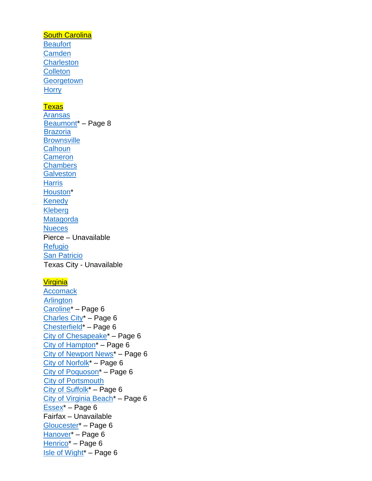#### **[South Carolina](http://www.scemd.org/component/content/article/11-home-page/news/155-know-your-zone)**

**[Beaufort](http://www.scemd.org/?option=com_content&view=article&id=155:know-your-zone&catid=11:news) [Camden](http://www.scemd.org/?option=com_content&view=article&id=155:know-your-zone&catid=11:news) [Charleston](http://www.scemd.org/?option=com_content&view=article&id=155:know-your-zone&catid=11:news) [Colleton](http://www.scemd.org/?option=com_content&view=article&id=155:know-your-zone&catid=11:news) [Georgetown](http://www.scemd.org/?option=com_content&view=article&id=155:know-your-zone&catid=11:news) [Horry](http://www.arcgis.com/home/webmap/viewer.html?webmap=5eaa13ba491c4699a9730bf3f9e65a37)** 

## **[Texas](http://www.txdps.state.tx.us/dem/)**

[Aransas](http://maps.redcross.org/website/maps/images/Texas/TX_AransasCo_evac.jpg) [Beaumont\\*](http://beaumonttexas.gov/wp-content/uploads/pdf/eoc/bmt_disaster_prepare_brochure.pdf) – Page 8 **[Brazoria](http://www.co.chambers.tx.us/users/emerg/mgmnt/2013%20Zip%20Zone%20Map.pdf) [Brownsville](http://maps.redcross.org/website/maps/images/Texas/TX_Brownsville_evac.jpg) [Calhoun](http://maps.redcross.org/website/maps/images/Texas/TX_CalhounCo_evac.jpg) [Cameron](http://maps.redcross.org/website/maps/images/Texas/TX_CameronCo_evac.jpg) [Chambers](http://www.co.chambers.tx.us/users/emerg/mgmnt/2013%20Zip%20Zone%20Map.pdf) [Galveston](http://www.co.chambers.tx.us/users/emerg/mgmnt/2013%20Zip%20Zone%20Map.pdf) [Harris](http://www.co.chambers.tx.us/users/emerg/mgmnt/2013%20Zip%20Zone%20Map.pdf)** [Houston\\*](http://ftp.dot.state.tx.us/pub/txdot-info/trv/evacuation/houston.pdf) **[Kenedy](http://maps.redcross.org/website/maps/images/Texas/TX_KenedyCo_evac.jpg)** [Kleberg](http://maps.redcross.org/website/maps/images/Texas/TX_KlebergCo_evac.jpg) [Matagorda](http://www.co.chambers.tx.us/users/emerg/mgmnt/2013%20Zip%20Zone%20Map.pdf) **[Nueces](http://maps.redcross.org/website/maps/images/Texas/TX_NuecesCo_evac.jpg)** Pierce – Unavailable [Refugio](http://maps.redcross.org/website/maps/images/Texas/TX_RefugioCo_evac.jpg) **[San Patricio](http://maps.redcross.org/website/maps/images/Texas/TX_SanPatricioCo_evac.jpg)** Texas City - Unavailable

## **[Virginia](http://www.vaemergency.gov/wp-content/uploads/drupal/HurricaneGuide15_ALTmap.pdf)**

**[Accomack](http://co.accomack.va.us/departments/emergency-management/county-government/evacuation-plan) [Arlington](https://vdemgis.maps.arcgis.com/apps/PublicInformation/index.html?appid=3f72cc77421448ceb84312413a9e7dd0)** [Caroline\\*](http://www.vaemergency.gov/wp-content/uploads/drupal/HurricaneGuide15_ALTmap.pdf) – Page 6 [Charles City\\*](http://www.vaemergency.gov/wp-content/uploads/drupal/HurricaneGuide15_ALTmap.pdf) – Page 6 [Chesterfield\\*](http://www.vaemergency.gov/wp-content/uploads/drupal/HurricaneGuide15_ALTmap.pdf) – Page 6 [City of Chesapeake\\*](http://www.vaemergency.gov/wp-content/uploads/drupal/HurricaneGuide15_ALTmap.pdf) – Page 6 [City of Hampton\\*](http://www.vaemergency.gov/wp-content/uploads/drupal/HurricaneGuide15_ALTmap.pdf) – Page 6 [City of Newport News\\*](http://www.vaemergency.gov/wp-content/uploads/drupal/HurricaneGuide15_ALTmap.pdf) – Page 6 [City of Norfolk\\*](http://www.vaemergency.gov/wp-content/uploads/drupal/HurricaneGuide15_ALTmap.pdf) – Page 6 [City of Poquoson\\*](http://www.vaemergency.gov/wp-content/uploads/drupal/HurricaneGuide15_ALTmap.pdfhttp:/www.vaemergency.gov/sites/default/files/VirginiaStormSurge_York.png) – Page 6 [City of Portsmouth](http://www.portsmouthva.gov/DocumentCenter/Home/View/228) [City of Suffolk\\*](http://www.vaemergency.gov/wp-content/uploads/drupal/HurricaneGuide15_ALTmap.pdf) – Page 6 City of Virginia Beach<sup>\*</sup> – Page 6 [Essex\\*](http://www.vaemergency.gov/wp-content/uploads/drupal/HurricaneGuide15_ALTmap.pdf) – Page 6 Fairfax – Unavailable [Gloucester\\*](http://www.vaemergency.gov/wp-content/uploads/drupal/HurricaneGuide15_ALTmap.pdf) – Page 6 [Hanover\\*](http://www.vaemergency.gov/wp-content/uploads/drupal/HurricaneGuide15_ALTmap.pdf) – Page 6 [Henrico\\*](http://www.vaemergency.gov/wp-content/uploads/drupal/HurricaneGuide15_ALTmap.pdf) – Page 6 [Isle of Wight\\*](http://www.vaemergency.gov/wp-content/uploads/drupal/HurricaneGuide15_ALTmap.pdf) – Page 6